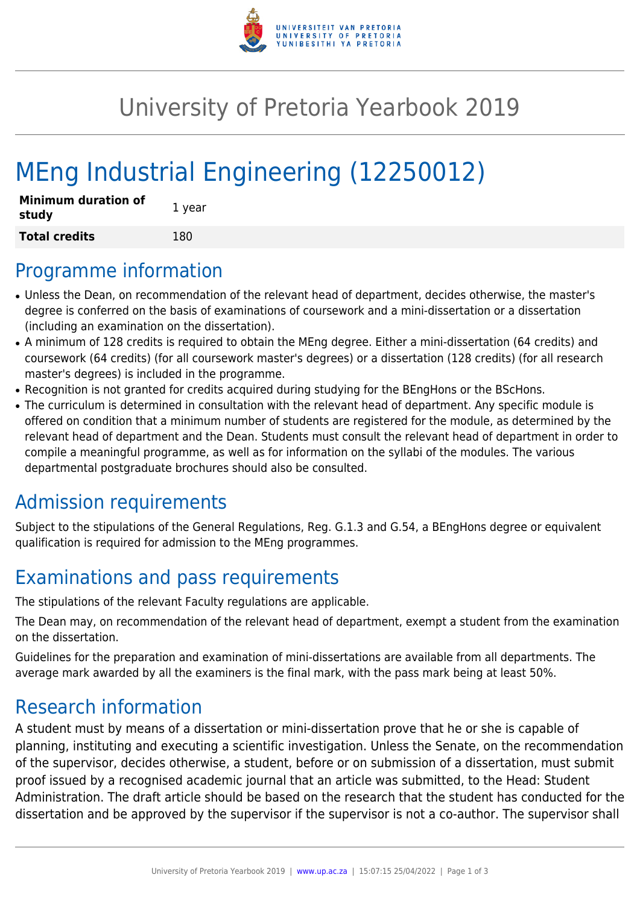

## University of Pretoria Yearbook 2019

# MEng Industrial Engineering (12250012)

| <b>Minimum duration of</b><br>study | 1 year |
|-------------------------------------|--------|
| <b>Total credits</b>                | 180    |

#### Programme information

- Unless the Dean, on recommendation of the relevant head of department, decides otherwise, the master's degree is conferred on the basis of examinations of coursework and a mini-dissertation or a dissertation (including an examination on the dissertation).
- A minimum of 128 credits is required to obtain the MEng degree. Either a mini-dissertation (64 credits) and coursework (64 credits) (for all coursework master's degrees) or a dissertation (128 credits) (for all research master's degrees) is included in the programme.
- Recognition is not granted for credits acquired during studying for the BEngHons or the BScHons.
- The curriculum is determined in consultation with the relevant head of department. Any specific module is offered on condition that a minimum number of students are registered for the module, as determined by the relevant head of department and the Dean. Students must consult the relevant head of department in order to compile a meaningful programme, as well as for information on the syllabi of the modules. The various departmental postgraduate brochures should also be consulted.

### Admission requirements

Subject to the stipulations of the General Regulations, Reg. G.1.3 and G.54, a BEngHons degree or equivalent qualification is required for admission to the MEng programmes.

### Examinations and pass requirements

The stipulations of the relevant Faculty regulations are applicable.

The Dean may, on recommendation of the relevant head of department, exempt a student from the examination on the dissertation.

Guidelines for the preparation and examination of mini-dissertations are available from all departments. The average mark awarded by all the examiners is the final mark, with the pass mark being at least 50%.

### Research information

A student must by means of a dissertation or mini-dissertation prove that he or she is capable of planning, instituting and executing a scientific investigation. Unless the Senate, on the recommendation of the supervisor, decides otherwise, a student, before or on submission of a dissertation, must submit proof issued by a recognised academic journal that an article was submitted, to the Head: Student Administration. The draft article should be based on the research that the student has conducted for the dissertation and be approved by the supervisor if the supervisor is not a co-author. The supervisor shall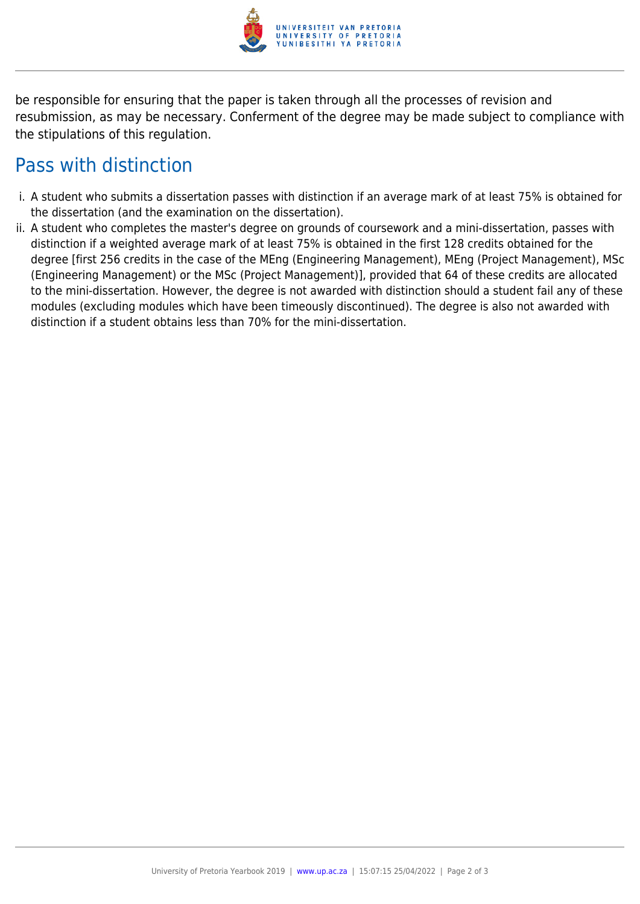

be responsible for ensuring that the paper is taken through all the processes of revision and resubmission, as may be necessary. Conferment of the degree may be made subject to compliance with the stipulations of this regulation.

### Pass with distinction

- i. A student who submits a dissertation passes with distinction if an average mark of at least 75% is obtained for the dissertation (and the examination on the dissertation).
- ii. A student who completes the master's degree on grounds of coursework and a mini-dissertation, passes with distinction if a weighted average mark of at least 75% is obtained in the first 128 credits obtained for the degree [first 256 credits in the case of the MEng (Engineering Management), MEng (Project Management), MSc (Engineering Management) or the MSc (Project Management)], provided that 64 of these credits are allocated to the mini-dissertation. However, the degree is not awarded with distinction should a student fail any of these modules (excluding modules which have been timeously discontinued). The degree is also not awarded with distinction if a student obtains less than 70% for the mini-dissertation.